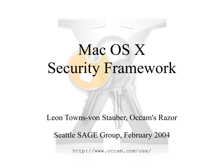# Mac OS X Security Framework

Leon Towns-von Stauber, Occam's Razor

Seattle SAGE Group, February 2004

http://www.occam.com/osx/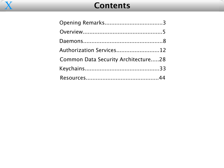

### **Contents**

| Authorization Services12            |  |
|-------------------------------------|--|
| Common Data Security Architecture28 |  |
|                                     |  |
|                                     |  |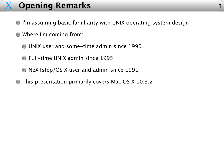### X **Opening Remarks**

- I'm assuming basic familiarity with UNIX operating system design
- Where I'm coming from:
	- UNIX user and some-time admin since 1990
	- Full-time UNIX admin since 1995
	- NeXTstep/OS X user and admin since 1991
- This presentation primarily covers Mac OS X 10.3.2  $\bigodot$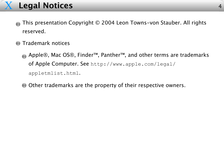### X **Legal Notices**

- This presentation Copyright © 2004 Leon Towns-von Stauber. All rights  $\begin{pmatrix} 1 \\ -1 \end{pmatrix}$ reserved.
- **Trademark notices** 
	- Apple®, Mac OS®, Finder™, Panther™, and other terms are trademarks of Apple Computer. See http://www.apple.com/legal/ appletmlist.html.
	- O Other trademarks are the property of their respective owners.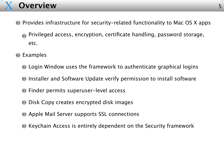### X **Overview**

- **Provides infrastructure for security-related functionality to Mac OS X apps** 
	- Privileged access, encryption, certificate handling, password storage, etc.
- **C** Examples
	- Login Window uses the framework to authenticate graphical logins
	- **Installer and Software Update verify permission to install software**
	- **•** Finder permits superuser-level access
	- **Disk Copy creates encrypted disk images**
	- **Apple Mail Server supports SSL connections**
	- **Keychain Access is entirely dependent on the Security framework**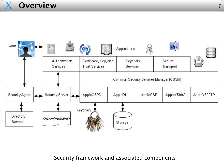



Security framework and associated components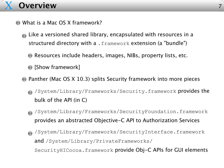### X **Overview**

- What is a Mac OS X framework?
	- Like a versioned shared library, encapsulated with resources in a structured directory with a . framework extension (a "bundle")
		- Resources include headers, images, NIBs, property lists, etc.
		- [Show framework]
	- **Panther (Mac OS X 10.3) splits Security framework into more pieces** 
		- /System/Library/Frameworks/Security.framework provides the bulk of the API (in C)
		- /System/Library/Frameworks/SecurityFoundation.framework provides an abstracted Objective-C API to Authorization Services
		- /System/Library/Frameworks/SecurityInterface.framework and /System/Library/PrivateFrameworks/
			- SecurityHICocoa.framework provide Obj-C APIs for GUI elements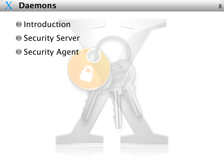

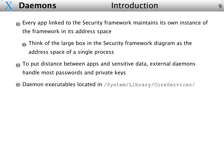- Every app linked to the Security framework maintains its own instance of the framework in its address space
	- Think of the large box in the Security framework diagram as the  $\overline{\mathcal{L}}$ address space of a single process
- To put distance between apps and sensitive data, external daemons handle most passwords and private keys
- Daemon executables located in /System/Library/CoreServices/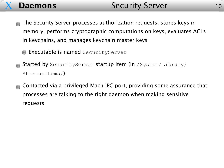- The Security Server processes authorization requests, stores keys in  $\begin{pmatrix} 1 \\ -1 \end{pmatrix}$ memory, performs cryptographic computations on keys, evaluates ACLs in keychains, and manages keychain master keys
	- **Executable is named** SecurityServer
- Started by SecurityServer startup item (in /System/Library/ StartupItems/)
- Contacted via a privileged Mach IPC port, providing some assurance that processes are talking to the right daemon when making sensitive requests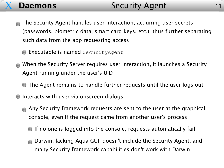- The Security Agent handles user interaction, acquiring user secrets  $\begin{pmatrix} 1 \\ -1 \end{pmatrix}$ (passwords, biometric data, smart card keys, etc.), thus further separating such data from the app requesting access
	- **Executable is named** SecurityAgent
- When the Security Server requires user interaction, it launches a Security Agent running under the user's UID
	- **The Agent remains to handle further requests until the user logs out**
- **Interacts with user via onscreen dialogs** 
	- Any Security framework requests are sent to the user at the graphical console, even if the request came from another user's process
		- If no one is logged into the console, requests automatically fail
		- Darwin, lacking Aqua GUI, doesn't include the Security Agent, and many Security framework capabilities don't work with Darwin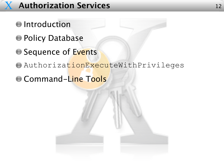## X **Authorization Services** <sup>12</sup>

- **O**Introduction
- **O Policy Database**
- G Sequence of Events
- AuthorizationExecuteWithPrivileges
- **Command-Line Tools**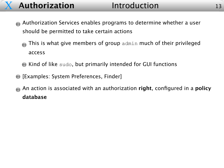### X **Authorization** Introduction

- Authorization Services enables programs to determine whether a user should be permitted to take certain actions
	- This is what give members of group admin much of their privileged  $\overline{\mathcal{L}}$ access
	- Kind of like sudo, but primarily intended for GUI functions
- [Examples: System Preferences, Finder]
- An action is associated with an authorization **right**, configured in a **policy database**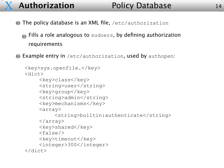- **The policy database is an XML file,** /etc/authorization
	- **Fills a role analogous to** sudoers, by defining authorization requirements
- Example entry in /etc/authorization, used by authopen:

```
<key>sys.openfile.</key>
<dict>
    <key>class</key>
    <string>user</string>
    <key>group</key>
    <string>admin</string>
    <key>mechanisms</key>
    <array>
         <string>builtin:authenticate</string>
    </array>
    <key>shared</key>
    <false/>
    <key>timeout</key>
    <integer>300</integer>
</dict>
```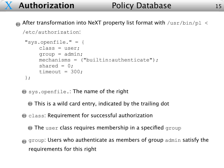### **Authorization** Policy Database

After transformation into NeXT property list format with  $/\text{usr/bin}/\text{pl} <$ 

```
/etc/authorization:
```

```
"sys.openfile." = {
    class = user;
    qroup = admin;mechanisms = ("builtin:authenticate");
    shared = 0;timeout = 300;};
```
Sys.openfile.: The name of the right

This is a wild card entry, indicated by the trailing dot

**C** class: Requirement for successful authorization

 $\bullet$  The user class requires membership in a specified group

group: Users who authenticate as members of group admin satisfy the requirements for this right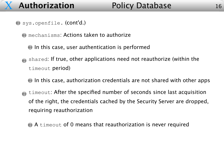sys.openfile. (cont'd.)

X

**O** mechanisms: Actions taken to authorize

- In this case, user authentication is performed
- shared: If true, other applications need not reauthorize (within the timeout period)
	- In this case, authorization credentials are not shared with other apps
- timeout: After the specified number of seconds since last acquisition  $\begin{pmatrix} 1 & 0 \\ 0 & 1 \end{pmatrix}$ of the right, the credentials cached by the Security Server are dropped, requiring reauthorization
	- A timeout of 0 means that reauthorization is never required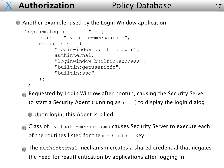```
"system.login.console" = {
     class = "evaluate-mechanisms";
    mechanisms = (
          "loginwindow_builtin:login"
,
          authinternal,
          "loginwindow_builtin:success"
,
          "builtin:getuserinfo"
,
          "builtin:sso"
    );
};
```
- Requested by Login Window after bootup, causing the Security Server to start a Security Agent (running as root) to display the login dialog
	- Upon login, this Agent is killed
- Class of evaluate-mechanisms causes Security Server to execute each of the routines listed for the mechanisms key
- The authinternal mechanism creates a shared credential that negates the need for reauthentication by applications after logging in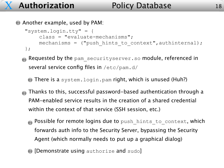### Another example, used by PAM:

```
"system.login.tty" = {
    class = "evaluate-mechanisms";
    mechanisms = ("push hints to context", authinternal);
};
```
- Requested by the pam securityserver.so module, referenced in several service config files in /etc/pam.d/
	- There is a system.login.pam right, which is unused (Huh?)
- Thanks to this, successful password-based authentication through a PAM-enabled service results in the creation of a shared credential within the context of that service (SSH session, etc.)
	- **Possible for remote logins due to** push hints to context, which forwards auth info to the Security Server, bypassing the Security Agent (which normally needs to put up a graphical dialog)
	- **[Demonstrate using** authorize and sudo]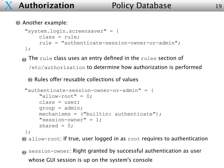### **Another example:**

```
"system.login.screensaver" = {
    class = rule;
    rule = "authenticate-session-owner-or-admin";
};
```
The rule class uses an entry defined in the rules section of 

/etc/authorization to determine how authorization is performed

Rules offer reusable collections of values

```
"authenticate-session-owner-or-admin" = {
    "allow-root" = 0;class = user;
    qroup = admin;mechanisms = ("builtin: authentic,"session-owner" = 1;shared = 0;
};
```
 $\bullet$  allow-root: If true, user logged in as root requires to authentication

session-owner: Right granted by successful authentication as user whose GUI session is up on the system's console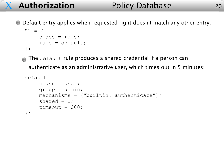Default entry applies when requested right doesn't match any other entry:

```
"" = {
    class = rule;
    rule = default;
```


The default rule produces a shared credential if a person can

authenticate as an administrative user, which times out in 5 minutes:

```
default = {class = user;
    qroup = admin;mechanisms = ("builtin: authentic,shared = 1;
    timeout = 300;
};
```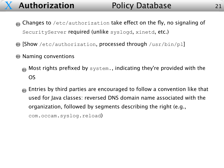- Changes to /etc/authorization take effect on the fly, no signaling of SecurityServer required (unlike syslogd, xinetd, etc.)
- [Show /etc/authorization, processed through /usr/bin/pl]
- **Naming conventions** 
	- Most rights prefixed by system., indicating they're provided with the OS
	- Entries by third parties are encouraged to follow a convention like that  $\langle \cdot \rangle$ used for Java classes: reversed DNS domain name associated with the organization, followed by segments describing the right (e.g., com.occam.syslog.reload)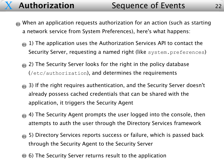- When an application requests authorization for an action (such as starting a network service from System Preferences), here's what happens:
	- 1) The application uses the Authorization Services API to contact the Security Server, requesting a named right (like system.preferences)
	- 2) The Security Server looks for the right in the policy database (/etc/authorization), and determines the requirements
	- 3) If the right requires authentication, and the Security Server doesn't already possess cached credentials that can be shared with the application, it triggers the Security Agent
	- 4) The Security Agent prompts the user logged into the console, then attempts to auth the user through the Directory Services framework
	- 5) Directory Services reports success or failure, which is passed back through the Security Agent to the Security Server
	- 6) The Security Server returns result to the application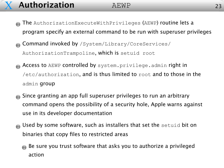### **Authorization** AEWP 23

- The AuthorizationExecuteWithPrivileges (AEWP) routine lets a program specify an external command to be run with superuser privileges
- Command invoked by /System/Library/CoreServices/  $\overline{\mathcal{L}}$ AuthorizationTrampoline, which is setuid root
- Access to AEWP controlled by system.privilege.admin right in /etc/authorization, and is thus limited to root and to those in the admin group
- Since granting an app full superuser privileges to run an arbitrary command opens the possibility of a security hole, Apple warns against use in its developer documentation
- Used by some software, such as installers that set the setuid bit on  $\overline{\mathcal{L}}$ binaries that copy files to restricted areas
	- Be sure you trust software that asks you to authorize a privileged action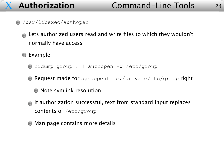- /usr/libexec/authopen
	- Lets authorized users read and write files to which they wouldn't normally have access
	- **Example:** 
		- nidump group . | authopen -w /etc/group
		- Request made for sys.openfile./private/etc/group right
			- **O** Note symlink resolution
		- If authorization successful, text from standard input replaces contents of /etc/group
		- **Man page contains more details**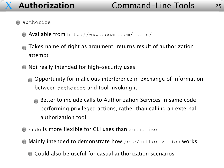### **authorize**

- Available from http://www.occam.com/tools/
- Takes name of right as argument, returns result of authorization attempt
- Not really intended for high-security uses
	- Opportunity for malicious interference in exchange of information between authorize and tool invoking it
		- Better to include calls to Authorization Services in same code performing privileged actions, rather than calling an external authorization tool
- sudo is more flexible for CLI uses than authorize
- Mainly intended to demonstrate how /etc/authorization works
	- Could also be useful for casual authorization scenarios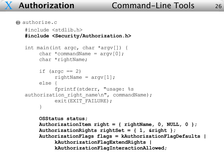$\bullet$  authorize.c

```
#include <stdlib.h>
#include <Security/Authorization.h>
int main(int argc, char *argv[]) {
     char *commandName = argv[0];
     char *rightName;
     if (\text{argc} == 2)rightName = array[1];else {
          fprintf(stderr,
"usage: %s
authorization_right_name\n"
, commandName);
          exit(EXIT_FAILURE);
     }
    OSStatus status;
    AuthorizationItem right = { rightName, 0, NULL, 0 };
    AuthorizationRights rightSet = { 1, &right };
    AuthorizationFlags flags = kAuthorizationFlagDefaults |
          kAuthorizationFlagExtendRights |
          kAuthorizationFlagInteractionAllowed;
```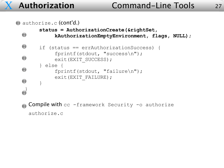### **Authorization Command-Line Tools** 27

```
\bullet authorize.c (cont'd.)
        status = AuthorizationCreate(&rightSet,
  \bigodotkAuthorizationEmptyEnvironment, flags, NULL);
  if (status == errAuthorizationSuccess) {
              fprintf(stdout,
"success\n");
  \bigodotexit(EXIT_SUCCESS);
        } else {
  \bigodotfprintf(stdout,
"failure\n");
              exit(EXIT_FAILURE);
  \bigodot}
   }Compile with cc -framework Security -o authorize
    authorize.c
```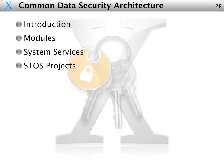### X **Common Data Security Architecture** 28

**O**Introduction Modules **System Services STOS Projects**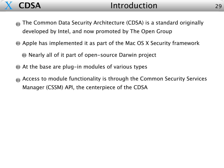

- The Common Data Security Architecture (CDSA) is a standard originally  $\begin{array}{c} \begin{array}{c} \begin{array}{c} \end{array} \end{array}$ developed by Intel, and now promoted by The Open Group
- Apple has implemented it as part of the Mac OS X Security framework
	- Nearly all of it part of open-source Darwin project
- At the base are plug-in modules of various types
- Access to module functionality is through the Common Security Services Manager (CSSM) API, the centerpiece of the CDSA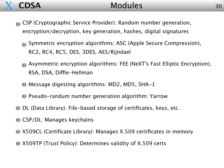

### **CDSA** Modules

- CSP (Cryptographic Service Provider): Random number generation,  $\begin{pmatrix} 1 \\ 1 \\ 1 \end{pmatrix}$ encryption/decryption, key generation, hashes, digital signatures
	- Symmetric encryption algorithms: ASC (Apple Secure Compression), RC2, RC4, RC5, DES, 3DES, AES/Rijndael
	- Asymmetric encryption algorithms: FEE (NeXT's Fast Elliptic Encryption), RSA, DSA, Diffie-Hellman
	- Message digesting algorithms: MD2, MD5, SHA-1
	- **Pseudo-randum number generation algorithm: Yarrow**
- DL (Data Library): File-based storage of certificates, keys, etc.
- **CSP/DL: Manages keychains**
- X509CL (Certificate Library): Manages X.509 certificates in memory
- X509TP (Trust Policy): Determines validity of X.509 certs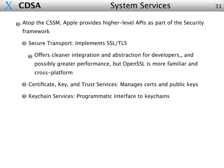

- Atop the CSSM, Apple provides higher-level APIs as part of the Security framework
	- G Secure Transport: Implements SSL/TLS
		- Offers cleaner integration and abstraction for developers,, and possibly greater performance, but OpenSSL is more familiar and cross-platform
	- **C** Certificate, Key, and Trust Services: Manages certs and public keys
	- **Keychain Services: Programmatic interface to keychains**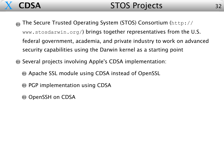

- The Secure Trusted Operating System (STOS) Consortium (http://  $\sqrt{2}$ www.stosdarwin.org/) brings together representatives from the U.S. federal government, academia, and private industry to work on advanced security capabilities using the Darwin kernel as a starting point
- Several projects involving Apple's CDSA implementation:
	- Apache SSL module using CDSA instead of OpenSSL
	- **PGP implementation using CDSA**
	- $\bigcirc$  OpenSSH on CDSA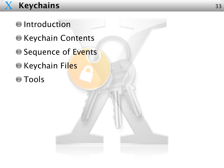### X **Keychains** <sup>33</sup>

- **O** Introduction **Executed Contents** G Sequence of Events **C** Keychain Files
- Tools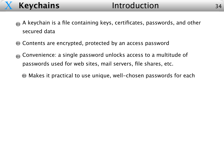- A keychain is a file containing keys, certificates, passwords, and other secured data
- **Contents are encrypted, protected by an access password**
- Convenience: a single password unlocks access to a multitude of passwords used for web sites, mail servers, file shares, etc.
	- Makes it practical to use unique, well-chosen passwords for each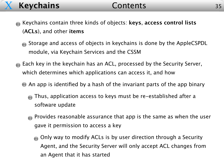### X **Keychains** Contents

- Keychains contain three kinds of objects: **keys**, **access control lists**  $\mathcal{L}_{\text{max}}$ (**ACLs**), and other **items**
	- Storage and access of objects in keychains is done by the AppleCSPDL module, via Keychain Services and the CSSM
- **Each key in the keychain has an ACL, processed by the Security Server,** which determines which applications can access it, and how
	- An app is identified by a hash of the invariant parts of the app binary
		- Thus, application access to keys must be re-established after a software update
		- **Provides reasonable assurance that app is the same as when the user** gave it permission to access a key
			- Only way to modify ACLs is by user direction through a Security Agent, and the Security Server will only accept ACL changes from an Agent that it has started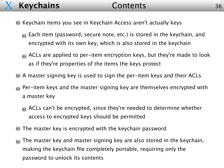### X **Keychains** Contents

- Keychain items you see in Keychain Access aren't actually keys
	- **Each item (password, secure note, etc.) is stored in the keychain, and** encrypted with its own key, which is also stored in the keychain
	- ACLs are applied to per-item encryption keys, but they're made to look as if they're properties of the items the keys protect
- A master signing key is used to sign the per-item keys and their ACLs
- Per-item keys and the master signing key are themselves encrypted with a master key
	- ACLs can't be encrypted, since they're needed to determine whether access to encrypted keys should be permitted
- The master key is encrypted with the keychain password  $\bigodot$
- The master key and master signing key are also stored in the keychain, making the keychain file completely portable, requiring only the password to unlock its contents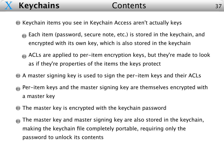### X **Keychains** Contents

- Keychain items you see in Keychain Access aren't actually keys
	- **Each item (password, secure note, etc.) is stored in the keychain, and** encrypted with its own key, which is also stored in the keychain
	- ACLs are applied to per-item encryption keys, but they're made to look as if they're properties of the items the keys protect
- A master signing key is used to sign the per-item keys and their ACLs
- **Per-item keys and the master signing key are themselves encrypted with** a master key
- The master key is encrypted with the keychain password  $\begin{pmatrix} 1 \\ 1 \end{pmatrix}$
- The master key and master signing key are also stored in the keychain,  $\begin{pmatrix} 1 \\ -1 \end{pmatrix}$ making the keychain file completely portable, requiring only the password to unlock its contents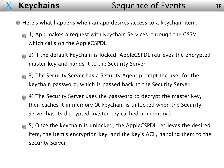- Here's what happens when an app desires access to a keychain item:
	- 1) App makes a request with Keychain Services, through the CSSM, which calls on the AppleCSPDL
	- 2) If the default keychain is locked, AppleCSPDL retrieves the encrypted master key and hands it to the Security Server
	- 3) The Security Server has a Security Agent prompt the user for the keychain password, which is passed back to the Security Server
	- 4) The Security Server uses the password to decrypt the master key, then caches it in memory (A keychain is unlocked when the Security Server has its decrypted master key cached in memory.)
	- 5) Once the keychain is unlocked, the AppleCSPDL retrieves the desired item, the item's encryption key, and the key's ACL, handing them to the Security Server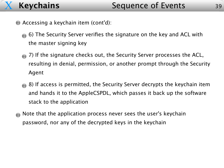- Accessing a keychain item (cont'd):
	- 6) The Security Server verifies the signature on the key and ACL with the master signing key
	- 7) If the signature checks out, the Security Server processes the ACL, resulting in denial, permission, or another prompt through the Security Agent
	- 8) If access is permitted, the Security Server decrypts the keychain item and hands it to the AppleCSPDL, which passes it back up the software stack to the application
- $\blacksquare$  Note that the application process never sees the user's keychain password, nor any of the decrypted keys in the keychain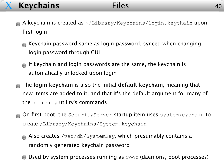### X **Keychains** Files

- A keychain is created as ~/Library/Keychains/login.keychain upon first login
	- Keychain password same as login password, synced when changing login password through GUI
	- If keychain and login passwords are the same, the keychain is automatically unlocked upon login
- The **login keychain** is also the initial **default keychain**, meaning that new items are added to it, and that it's the default argument for many of the security utility's commands
- On first boot, the SecurityServer startup item uses systemkeychain to  $\overline{\mathcal{L}}$ create /Library/Keychains/System.keychain
	- Also creates /var/db/SystemKey, which presumably contains a randomly generated keychain password
	- Used by system processes running as root (daemons, boot processes)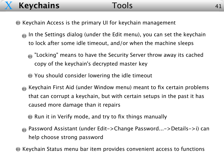### X **Keychains** Tools

- Keychain Access is the primary UI for keychain management
	- In the Settings dialog (under the Edit menu), you can set the keychain to lock after some idle timeout, and/or when the machine sleeps
		- **The "Locking" means to have the Security Server throw away its cached** copy of the keychain's decrypted master key
		- You should consider lowering the idle timeout
	- Keychain First Aid (under Window menu) meant to fix certain problems that can corrupt a keychain, but with certain setups in the past it has caused more damage than it repairs
		- **Run it in Verify mode, and try to fix things manually**
	- Password Assistant (under Edit->Change Password...->Details->i) can help choose strong password
- Keychain Status menu bar item provides convenient access to functions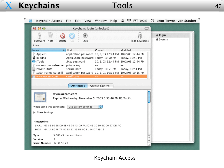

r.

| Keychain Access File Edit View                                                                                                             |                                                                                                                                | Help<br>Window                    | $\Rightarrow$ $(100\%)$ | <b>C</b> Leon Towns-von Stauber       |  |
|--------------------------------------------------------------------------------------------------------------------------------------------|--------------------------------------------------------------------------------------------------------------------------------|-----------------------------------|-------------------------|---------------------------------------|--|
| 000                                                                                                                                        | Keychain: login (unlocked)                                                                                                     |                                   | $\circ$                 |                                       |  |
| Password<br>Note<br>Delete                                                                                                                 | $\hat{\mathbf{e}}$<br>Lock<br>Go                                                                                               |                                   | Hide Keychains          | $\triangleq$ login<br><b>≜</b> System |  |
| 7 items                                                                                                                                    |                                                                                                                                |                                   |                         |                                       |  |
| Name                                                                                                                                       | Kind                                                                                                                           | Created                           | Modified                |                                       |  |
| AppleID<br>S≹ Buddha<br>iTools                                                                                                             | application password 10/2/03 12:44 PM 10/2/03 12:44 PM<br>AppleShare password Today, 10:50 PM Today, 10:50 PM<br>.Mac password | 10/2/03 12:44 PM 10/2/03 12:44 PM |                         |                                       |  |
| occam.com webserver private key<br>Private Stuff<br>国<br>Safari Forms AutoFill                                                             | secure note<br>application password 10/2/03 10:15 PM 10/2/03 10:15 PM                                                          | Today, 10:51 PM                   | Today, 10:51 PM         |                                       |  |
| www.occam.com                                                                                                                              | certificate                                                                                                                    |                                   |                         |                                       |  |
|                                                                                                                                            | <b>Attributes</b>                                                                                                              | <b>Access Control</b>             |                         |                                       |  |
| www.occam.com<br>Expires Wednesday, November 5, 2003 6:53:46 PM US/Pacific                                                                 |                                                                                                                                |                                   |                         |                                       |  |
| When using this certificate: Use System Settings                                                                                           |                                                                                                                                | ÷                                 |                         |                                       |  |
| Trust Settings                                                                                                                             |                                                                                                                                |                                   |                         |                                       |  |
| Fingerprints<br>SHA1 67 81 80 5B D9 4E 45 70 43 D9 FA 5C 45 10 B0 4C D0 97 DD AC<br>MD5<br>6A 1A BO FF 7F 4D B5 11 36 DB OC E1 44 D7 B9 19 |                                                                                                                                |                                   |                         |                                       |  |
| Type                                                                                                                                       | X.509 v3 root certificate                                                                                                      |                                   |                         |                                       |  |
| Version<br>3.                                                                                                                              |                                                                                                                                |                                   |                         |                                       |  |
| Serial Number 12 34 56 78                                                                                                                  |                                                                                                                                |                                   |                         |                                       |  |
|                                                                                                                                            |                                                                                                                                |                                   |                         |                                       |  |

### Keychain Access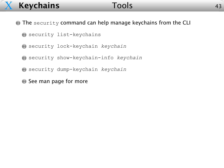### X **Keychains** Tools

- **The security command can help manage keychains from the CLI** 
	- security list-keychains
	- security lock-keychain *keychain*
	- security show-keychain-info *keychain*
	- security dump-keychain *keychain*
	- See man page for more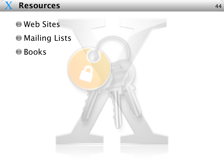

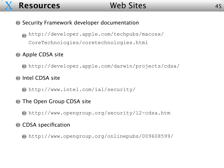

- **Security Framework developer documentation** 
	- http://developer.apple.com/techpubs/macosx/ CoreTechnologies/coretechnologies.html

### **Apple CDSA site**

- http://developer.apple.com/darwin/projects/cdsa/
- **Intel CDSA site** 
	- http://www.intel.com/ial/security/
- **The Open Group CDSA site** 
	- http://www.opengroup.org/security/l2-cdsa.htm

### **CDSA** specification

http://www.opengroup.org/onlinepubs/009608599/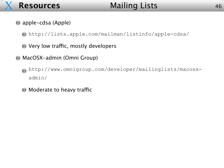

### **Resources** Mailing Lists

### **apple-cdsa (Apple)**

http://lists.apple.com/mailman/listinfo/apple-cdsa/

**C** Very low traffic, mostly developers

### MacOSX-admin (Omni Group)

- http://www.omnigroup.com/developer/mailinglists/macosxadmin/
- **Moderate to heavy traffic**